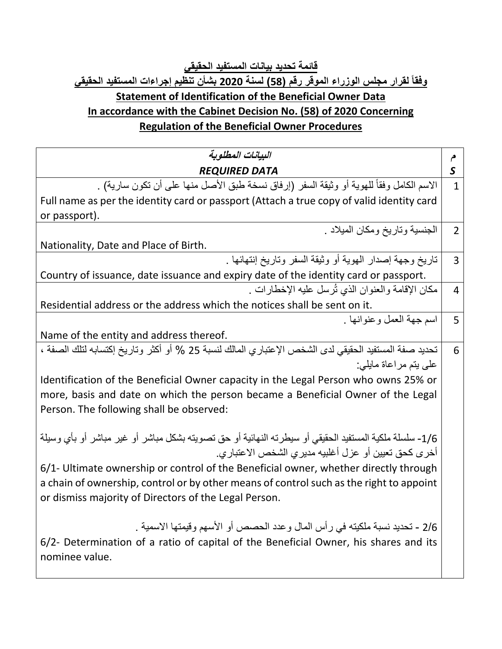## **قائمة تحديد بيانات المستفيد الحقيقي وفقاً لقرار مجلس الوزراء الموقر رقم )58( لسنة 2020 بشأن تنظيم إجراءات المستفيد الحقيقي Statement of Identification of the Beneficial Owner Data In accordance with the Cabinet Decision No. (58) of 2020 Concerning Regulation of the Beneficial Owner Procedures**

| البيانات المطلوبة                                                                                      | م              |
|--------------------------------------------------------------------------------------------------------|----------------|
| <b>REQUIRED DATA</b>                                                                                   | S              |
| الاسم الكامل وفقاً للهوية أو وثيقة السفر (إرفاق نسخة طبق الأصل منها على أن تكون سارية) .               | $\mathbf{1}$   |
| Full name as per the identity card or passport (Attach a true copy of valid identity card              |                |
| or passport).                                                                                          |                |
| الجنسية وتاريخ ومكان الميلاد .                                                                         | $\overline{2}$ |
| Nationality, Date and Place of Birth.                                                                  |                |
| تاريخ وجهة إصدار الهوية أو وثيقة السفر وتاريخ إنتهائها .                                               | 3              |
| Country of issuance, date issuance and expiry date of the identity card or passport.                   |                |
| مكان الإقامة والعنوان الذي ثُرسل عليه الإخطارات .                                                      | 4              |
| Residential address or the address which the notices shall be sent on it.                              |                |
| اسم جهة العمل وعنوانها .                                                                               | 5              |
| Name of the entity and address thereof.                                                                |                |
| تحديد صفة المستفيد الحقيقي لدى الشخص الإعتباري المالك لنسبة 25 % أو أكثر وتاريخ إكتسابه لتلك الصفة ،   | 6              |
| على بتم مراعاة مابلي:                                                                                  |                |
| Identification of the Beneficial Owner capacity in the Legal Person who owns 25% or                    |                |
| more, basis and date on which the person became a Beneficial Owner of the Legal                        |                |
| Person. The following shall be observed:                                                               |                |
| 1/6- سلسلة ملكية المستفيد الحقيقي أو سيطرته النهائية أو حق تصويته بشكل مباشر أو غير مباشر أو بأي وسيلة |                |
| أخر ي كحق تعيين أو عزل أغلبيه مدير ي الشخص الاعتبار ي.                                                 |                |
| 6/1- Ultimate ownership or control of the Beneficial owner, whether directly through                   |                |
| a chain of ownership, control or by other means of control such as the right to appoint                |                |
| or dismiss majority of Directors of the Legal Person.                                                  |                |
| 2/6 - تحديد نسبة ملكيته في رأس المال وعدد الحصص أو الأسهم وقيمتها الاسمية .                            |                |
| 6/2- Determination of a ratio of capital of the Beneficial Owner, his shares and its<br>nominee value. |                |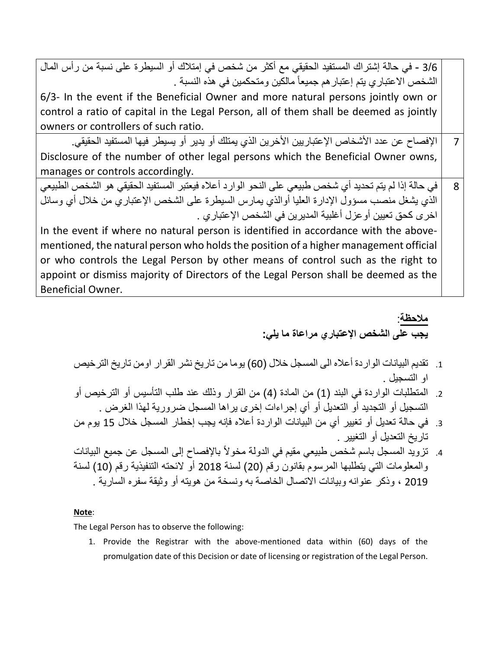| 3/6 - في حالة إشتراك المستفيد الحقيقي مع أكثر من شخص في إمتلاك أو السيطرة على نسبة من رأس المال       |   |
|-------------------------------------------------------------------------------------------------------|---|
| الشخص الاعتباري يتم إعتبار هم جميعاً مالكين ومتحكمين في هذه النسبة .                                  |   |
| 6/3- In the event if the Beneficial Owner and more natural persons jointly own or                     |   |
| control a ratio of capital in the Legal Person, all of them shall be deemed as jointly                |   |
| owners or controllers of such ratio.                                                                  |   |
| الإفصـاح عن عدد الأشخاص الإعتباريين الأخرين الذي يمتلك أو يدير أو يسيطر فيها المستفيد الحقيقي.        |   |
| Disclosure of the number of other legal persons which the Beneficial Owner owns,                      |   |
| manages or controls accordingly.                                                                      |   |
| في حالة إذا لم يتم تحديد أي شخص طبيعي على النحو الوارد أعلاه فيعتبر المستفيد الحقيقي هو الشخص الطبيعي | 8 |
| الذي يشغل منصب مسؤول الإدارة العليا أوالذي يمارس السيطرة على الشخص الإعتباري من خلال أي وسائل         |   |
| اخر ي كحق تعيين أو عزل أغلبية المديرين في الشخص الإعتبار ي .                                          |   |
| In the event if where no natural person is identified in accordance with the above-                   |   |
| mentioned, the natural person who holds the position of a higher management official                  |   |
| or who controls the Legal Person by other means of control such as the right to                       |   |
| appoint or dismiss majority of Directors of the Legal Person shall be deemed as the                   |   |
| Beneficial Owner.                                                                                     |   |

**مالحظة**: **يجب على الشخص اإلعتباري مراعاة ما يلي:**

- .1 تقديم البيانات الواردة أعاله الى المسجل خالل )60( يوما من تاريخ نشر القرار اومن تاريخ الترخيص او التسجيل .
- 2. المتطلبات الواردة في البند (1) من المادة (4) من القرار وذلك عند طلب التأسيس أو الترخيص أو التسجيل أو التجديد أو التعديل أو أي إجراءات إخرى يراها المسجل ضرورية لهذا الغرض .
- 3. في حالة تعديل أو تغيير أي من البيانات الواردة أعلاه فإنه يجب إخطار المسجل خلال 15 يوم من تاريخ التعديل أو التغيير .
- 4. تزويد المسجل باسم شخص طبيعي مقيم في الدولة مخولاً بالإفصـاح إلى المسجل عن جميع البيانات والمعلومات التي يتطلبها المرسوم بقانون رقم (20) لسنة 2018 أو لائحته التنفيذية رقم (10) لسنة 2019 ، وذكر عنوانه وبيانات الاتصال الخاصة به ونسخة من هويته أو وثيقة سفره السارية .

## **Note**:

The Legal Person has to observe the following:

1. Provide the Registrar with the above-mentioned data within (60) days of the promulgation date of this Decision or date of licensing or registration of the Legal Person.